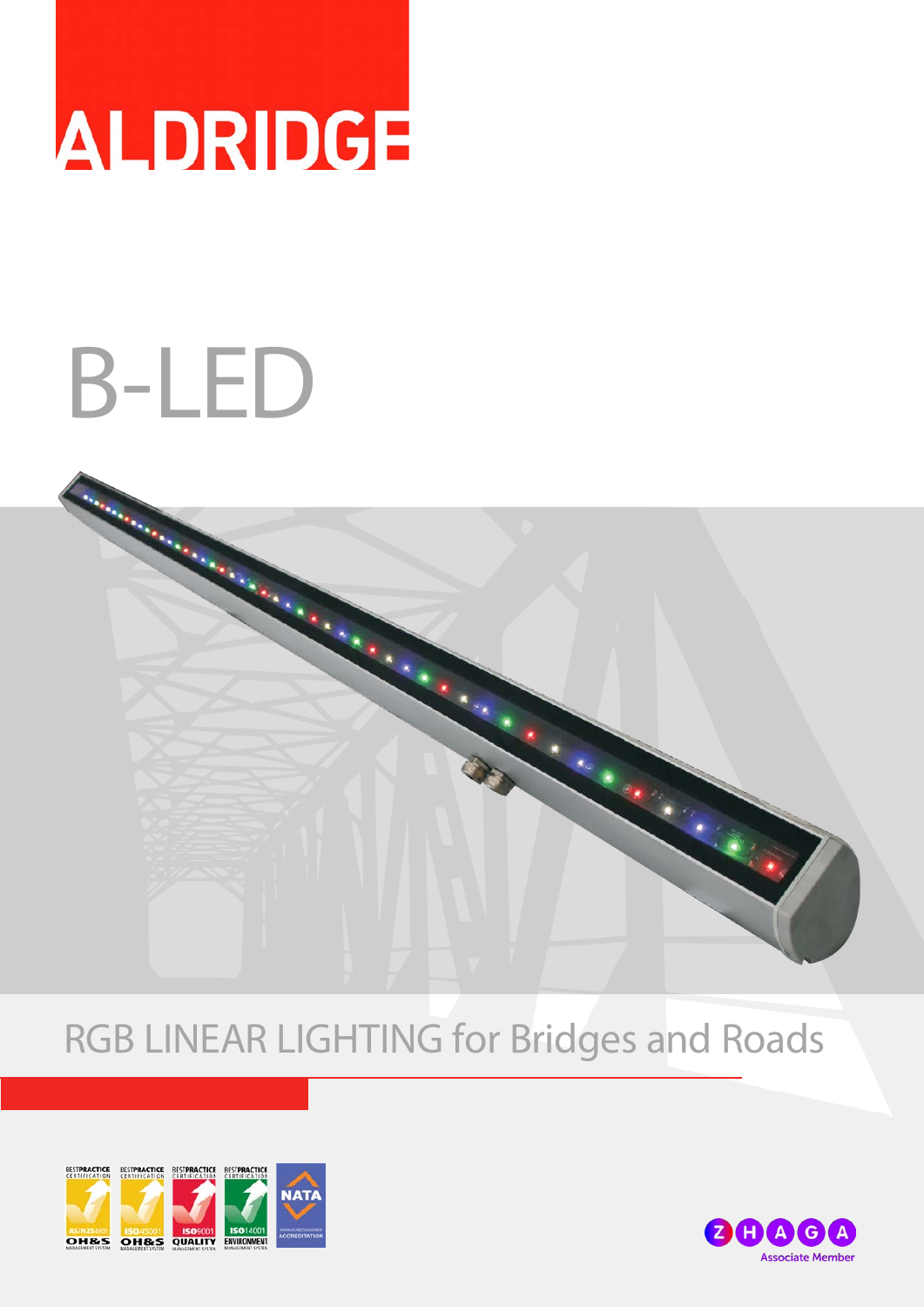

# B-LED



# RGB LINEAR LIGHTING for Bridges and Roads